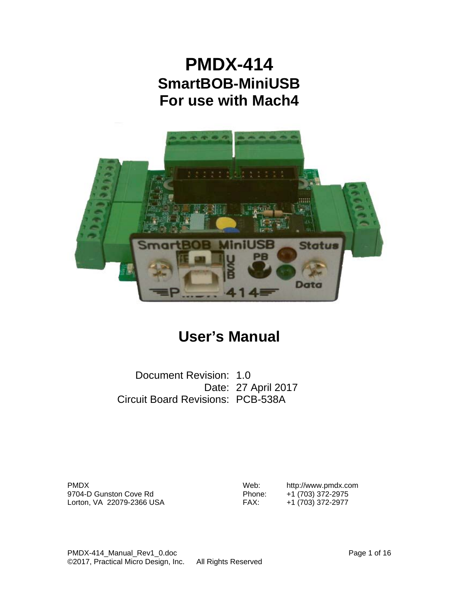# <span id="page-0-0"></span>**PMDX-414 SmartBOB-MiniUSB For use with Mach4**



# **User's Manual**

Document Revision: 1.0 Date: 27 April 2017 Circuit Board Revisions: PCB-538A

PMDX<br>
9704-D Gunston Cove Rd
9704-D Gunston Cove Rd
9704-D Gunston Cove Rd
9704-D
9704-D
9704-D
9704-D
9704-D
9704-D
9704-D
9704-D
9704-D
9704-D
9704-D
9704-D
9704-D
9704-D
9704-D
9704-D
9704-D
9704-D
9704-D
9704-D
9704-D 9704-D Gunston Cove Rd Lorton, VA 22079-2366 USA FAX: +1 (703) 372-2977

<span id="page-0-1"></span>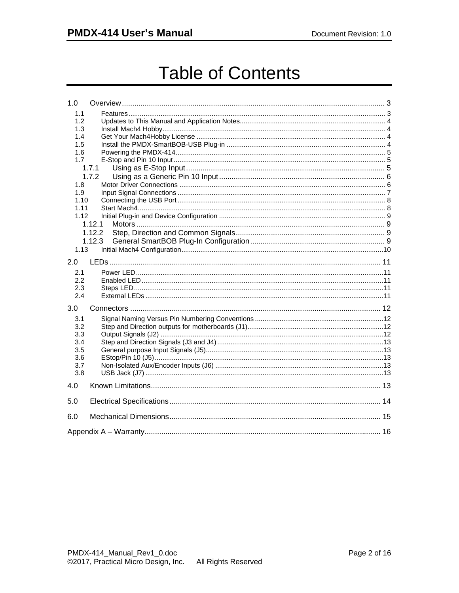# **Table of Contents**

| 1.0  |        |  |  |
|------|--------|--|--|
| 1.1  |        |  |  |
| 1.2  |        |  |  |
| 1.3  |        |  |  |
| 1.4  |        |  |  |
| 1.5  |        |  |  |
| 1.6  |        |  |  |
| 1.7  |        |  |  |
|      | 1.7.1  |  |  |
|      | 1.7.2  |  |  |
| 1.8  |        |  |  |
| 1.9  |        |  |  |
| 1.10 |        |  |  |
| 1.11 |        |  |  |
| 1.12 |        |  |  |
|      | 1.12.1 |  |  |
|      | 1.12.2 |  |  |
|      | 1.12.3 |  |  |
| 1.13 |        |  |  |
|      |        |  |  |
| 2.0  |        |  |  |
| 2.1  |        |  |  |
| 2.2  |        |  |  |
| 2.3  |        |  |  |
| 2.4  |        |  |  |
| 3.0  |        |  |  |
|      |        |  |  |
| 3.1  |        |  |  |
| 3.2  |        |  |  |
| 3.3  |        |  |  |
| 3.4  |        |  |  |
| 3.5  |        |  |  |
| 3.6  |        |  |  |
| 3.7  |        |  |  |
| 3.8  |        |  |  |
| 4.0  |        |  |  |
| 5.0  |        |  |  |
| 6.0  |        |  |  |
|      |        |  |  |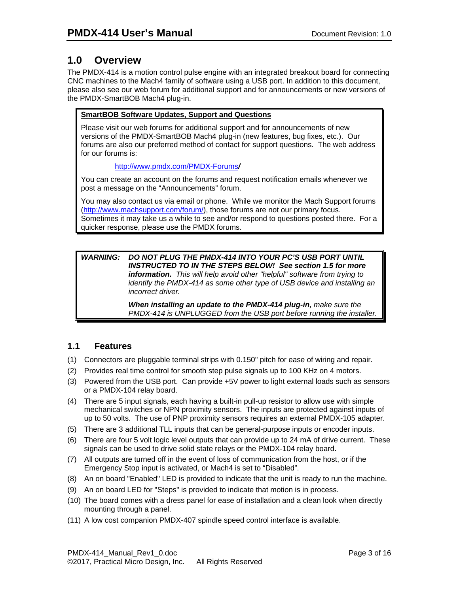# <span id="page-2-0"></span>**1.0 Overview**

The [PMDX-414](#page-0-0) is a motion control pulse engine with an integrated breakout board for connecting CNC machines to the Mach4 family of software using a USB port. In addition to this document, please also see our web forum for additional support and for announcements or new versions of the PMDX-SmartBOB Mach4 plug-in.

#### **SmartBOB Software Updates, Support and Questions**

Please visit our web forums for additional support and for announcements of new versions of the PMDX-SmartBOB Mach4 plug-in (new features, bug fixes, etc.). Our forums are also our preferred method of contact for support questions. The web address for our forums is:

[http://www.pmdx.com/PMDX-Forums](http://www.pmdx.com/PMDX-Forums/)*/*

You can create an account on the forums and request notification emails whenever we post a message on the "Announcements" forum.

You may also contact us via email or phone. While we monitor the Mach Support forums (http://www.machsupport.com/forum/), those forums are not our primary focus. [Sometimes it may take us a while to s](http://www.machsupport.com/forum/)ee and/or respond to questions posted there. For a quicker response, please use the PMDX forums.

*WARNING: DO NOT PLUG THE [PMDX-414](#page-0-0) INTO YOUR PC'S USB PORT UNTIL INSTRUCTED TO IN THE STEPS BELOW! See section [1.5](#page-3-3) for more information. This will help avoid other "helpful" software from trying to identify the [PMDX-414](#page-0-0) as some other type of USB device and installing an incorrect driver.*

> *When installing an update to the [PMDX-414](#page-0-0) plug-in, make sure the [PMDX-414](#page-0-0) is UNPLUGGED from the USB port before running the installer.*

#### <span id="page-2-1"></span>**1.1 Features**

- (1) Connectors are pluggable terminal strips with 0.150" pitch for ease of wiring and repair.
- (2) Provides real time control for smooth step pulse signals up to 100 KHz on 4 motors.
- (3) Powered from the USB port. Can provide +5V power to light external loads such as sensors or a PMDX-104 relay board.
- (4) There are 5 input signals, each having a built-in pull-up resistor to allow use with simple mechanical switches or NPN proximity sensors. The inputs are protected against inputs of up to 50 volts. The use of PNP proximity sensors requires an external PMDX-105 adapter.
- (5) There are 3 additional TLL inputs that can be general-purpose inputs or encoder inputs.
- (6) There are four 5 volt logic level outputs that can provide up to 24 mA of drive current. These signals can be used to drive solid state relays or the PMDX-104 relay board.
- (7) All outputs are turned off in the event of loss of communication from the host, or if the Emergency Stop input is activated, or Mach4 is set to "Disabled".
- (8) An on board "Enabled" LED is provided to indicate that the unit is ready to run the machine.
- (9) An on board LED for "Steps" is provided to indicate that motion is in process.
- (10) The board comes with a dress panel for ease of installation and a clean look when directly mounting through a panel.
- (11) A low cost companion PMDX-407 spindle speed control interface is available.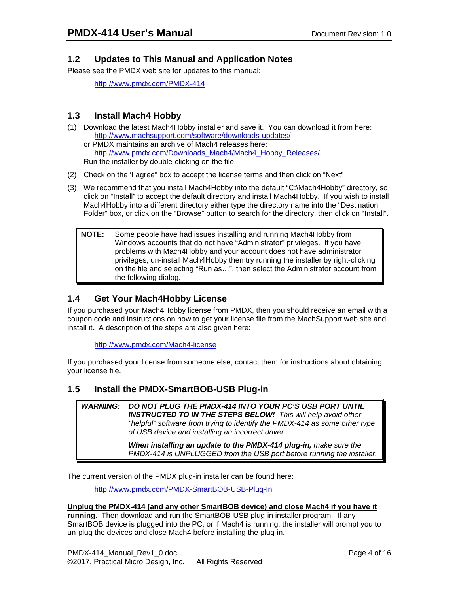#### **1.2 Updates to This Manual and Application Notes**

Please see the PMDX web site for updates to this manual:

<span id="page-3-0"></span>[http://www.pmdx.com/PMDX-414](http://www.pmdx.com/PMDX-416)

#### <span id="page-3-1"></span>**1.3 Install Mach4 Hobby**

(1) Download the latest Mach4Hobby installer and save it. You can download it from here: <http://www.machsupport.com/software/downloads-updates/> or PMDX maintains an archive of Mach4 releases here: [http://www.pmdx.com/Downloads\\_Mach4/Mach4\\_Hobby\\_Releases/](http://www.pmdx.com/Downloads_Mach4/Mach4_Hobby_Releases/)

Run the installer by double-clicking on the file.

- (2) Check on the 'I agree" box to accept the license terms and then click on "Next"
- (3) We recommend that you install Mach4Hobby into the default "C:\Mach4Hobby" directory, so click on "Install" to accept the default directory and install Mach4Hobby. If you wish to install Mach4Hobby into a different directory either type the directory name into the "Destination Folder" box, or click on the "Browse" button to search for the directory, then click on "Install".

**NOTE:** Some people have had issues installing and running Mach4Hobby from Windows accounts that do not have "Administrator" privileges. If you have problems with Mach4Hobby and your account does not have administrator privileges, un-install Mach4Hobby then try running the installer by right-clicking on the file and selecting "Run as…", then select the Administrator account from the following dialog.

#### <span id="page-3-2"></span>**1.4 Get Your Mach4Hobby License**

If you purchased your Mach4Hobby license from PMDX, then you should receive an email with a coupon code and instructions on how to get your license file from the MachSupport web site and install it. A description of the steps are also given here:

<http://www.pmdx.com/Mach4-license>

If you purchased your license from someone else, contact them for instructions about obtaining your license file.

#### **1.5 Install the PMDX-SmartBOB-USB Plug-in**

<span id="page-3-3"></span>*WARNING: DO NOT PLUG THE [PMDX-414](#page-0-0) INTO YOUR PC'S USB PORT UNTIL INSTRUCTED TO IN THE STEPS BELOW! This will help avoid other "helpful" software from trying to identify the [PMDX-414](#page-0-0) as some other type of USB device and installing an incorrect driver.*

> *When installing an update to the [PMDX-414](#page-0-0) plug-in, make sure the [PMDX-414](#page-0-0) is UNPLUGGED from the USB port before running the installer.*

The current version of the PMDX plug-in installer can be found here:

<http://www.pmdx.com/PMDX-SmartBOB-USB-Plug-In>

#### **Unplug the [PMDX-414](#page-0-0) (and any other SmartBOB device) and close Mach4 if you have it**

**running.** Then download and run the SmartBOB-USB plug-in installer program. If any SmartBOB device is plugged into the PC, or if Mach4 is running, the installer will prompt you to un-plug the devices and close Mach4 before installing the plug-in.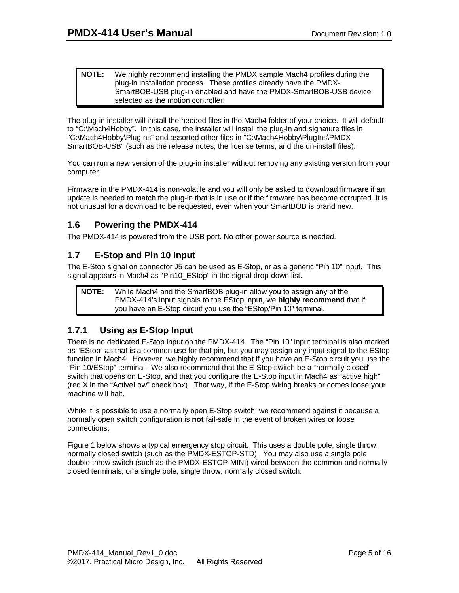#### **NOTE:** We highly recommend installing the PMDX sample Mach4 profiles during the plug-in installation process. These profiles already have the PMDX-SmartBOB-USB plug-in enabled and have the PMDX-SmartBOB-USB device selected as the motion controller.

The plug-in installer will install the needed files in the Mach4 folder of your choice. It will default to "C:\Mach4Hobby". In this case, the installer will install the plug-in and signature files in "C:\Mach4Hobby\PlugIns" and assorted other files in "C:\Mach4Hobby\PlugIns\PMDX-SmartBOB-USB" (such as the release notes, the license terms, and the un-install files).

You can run a new version of the plug-in installer without removing any existing version from your computer.

Firmware in the [PMDX-414](#page-0-0) is non-volatile and you will only be asked to download firmware if an update is needed to match the plug-in that is in use or if the firmware has become corrupted. It is not unusual for a download to be requested, even when your SmartBOB is brand new.

## <span id="page-4-0"></span>**1.6 Powering the [PMDX-414](#page-0-0)**

The [PMDX-414](#page-0-0) is powered from the USB port. No other power source is needed.

## <span id="page-4-1"></span>**1.7 E-Stop and Pin 10 Input**

The E-Stop signal on connector J5 can be used as E-Stop, or as a generic "Pin 10" input. This signal appears in Mach4 as "Pin10\_EStop" in the signal drop-down list.

**NOTE:** While Mach4 and the SmartBOB plug-in allow you to assign any of the PMDX-414's input signals to the EStop input, we **highly recommend** that if [you have an](#page-0-0) E-Stop circuit you use the "EStop/Pin 10" terminal.

## <span id="page-4-2"></span>**1.7.1 Using as E-Stop Input**

There is no dedicated E-Stop input on the [PMDX-414.](#page-0-0) The "Pin 10" input terminal is also marked as "EStop" as that is a common use for that pin, but you may assign any input signal to the EStop function in Mach4. However, we highly recommend that if you have an E-Stop circuit you use the "Pin 10/EStop" terminal. We also recommend that the E-Stop switch be a "normally closed" switch that opens on E-Stop, and that you configure the E-Stop input in Mach4 as "active high" (red X in the "ActiveLow" check box). That way, if the E-Stop wiring breaks or comes loose your machine will halt.

While it is possible to use a normally open E-Stop switch, we recommend against it because a normally open switch configuration is **not** fail-safe in the event of broken wires or loose connections.

[Figure 1 below](#page-5-2) shows a typical emergency stop circuit. This uses a double pole, single throw, normally closed switch (such as the PMDX-ESTOP-STD). You may also use a single pole double throw switch (such as the PMDX-ESTOP-MINI) wired between the common and normally closed terminals, or a single pole, single throw, normally closed switch.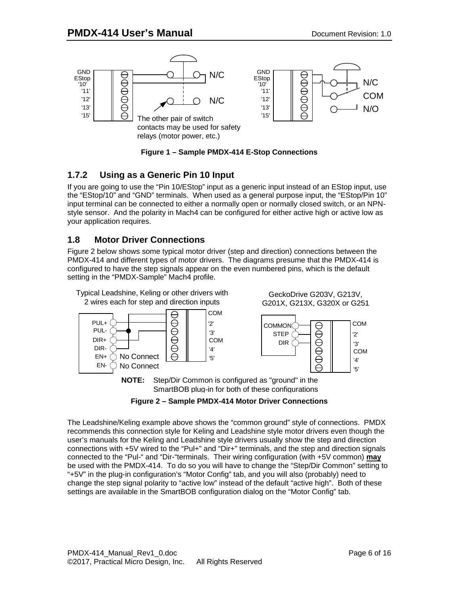<span id="page-5-2"></span>

**Figure 1 – Sample [PMDX-414](#page-0-0) E-Stop Connections**

#### <span id="page-5-0"></span>**1.7.2 Using as a Generic Pin 10 Input**

If you are going to use the "Pin 10/EStop" input as a generic input instead of an EStop input, use the "EStop/10" and "GND" terminals. When used as a general purpose input, the "EStop/Pin 10" input terminal can be connected to either a normally open or normally closed switch, or an NPNstyle sensor. And the polarity in Mach4 can be configured for either active high or active low as your application requires.

#### <span id="page-5-1"></span>**1.8 Motor Driver Connections**

[Figure 2 below](#page-5-3) shows some typical motor driver (step and direction) connections between the [PMDX-414](#page-0-0) and different types of motor drivers. The diagrams presume that the [PMDX-414](#page-0-0) is configured to have the step signals appear on the even numbered pins, which is the default setting in the "PMDX-Sample" Mach4 profile.



<span id="page-5-3"></span>**Figure 2 – Sample [PMDX-414](#page-0-0) Motor Driver Connections**

The Leadshine/Keling example [above](#page-5-3) shows the "common ground" style of connections. PMDX recommends this connection style for Keling and Leadshine style motor drivers even though the user's manuals for the Keling and Leadshine style drivers usually show the step and direction connections with +5V wired to the "Pul+" and "Dir+" terminals, and the step and direction signals connected to the "Pul-" and "Dir-"terminals. Their wiring configuration (with +5V common) **may** be used with the [PMDX-414.](#page-0-0) To do so you will have to change the "Step/Dir Common" setting to "+5V" in the plug-in configuration's "Motor Config" tab, and you will also (probably) need to change the step signal polarity to "active low" instead of the default "active high". Both of these settings are available in the SmartBOB configuration dialog on the "Motor Config" tab.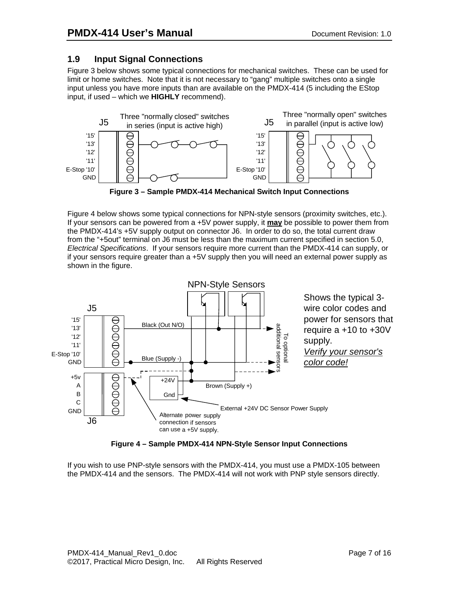#### <span id="page-6-0"></span>**1.9 Input Signal Connections**

[Figure 3 below](#page-6-1) shows some typical connections for mechanical switches. These can be used for limit or home switches. Note that it is not necessary to "gang" multiple switches onto a single input unless you have more inputs than are available on the [PMDX-414](#page-0-0) (5 including the EStop input, if used – which we **HIGHLY** recommend).



<span id="page-6-1"></span>**Figure 3 – Sample [PMDX-414](#page-0-0) Mechanical Switch Input Connections**

[Figure 4 below](#page-6-2) shows some typical connections for NPN-style sensors (proximity switches, etc.). If your sensors can be powered from a +5V power supply, it **may** be possible to power them from the [PMDX-414's](#page-0-0) +5V supply output on connector J6. In order to do so, the total current draw from the "+5out" terminal on J6 must be less than the maximum current specified in section [5.0,](#page-13-0) *[Electrical Specifications](#page-13-0)*. If your sensors require more current than the [PMDX-414](#page-0-0) can supply, or if your sensors require greater than a +5V supply then you will need an external power supply as shown in the figure.



<span id="page-6-2"></span>**Figure 4 – Sample [PMDX-414](#page-0-0) NPN-Style Sensor Input Connections**

If you wish to use PNP-style sensors with the [PMDX-414,](#page-0-0) you must use a PMDX-105 between the [PMDX-414](#page-0-0) and the sensors. The [PMDX-414](#page-0-0) will not work with PNP style sensors directly.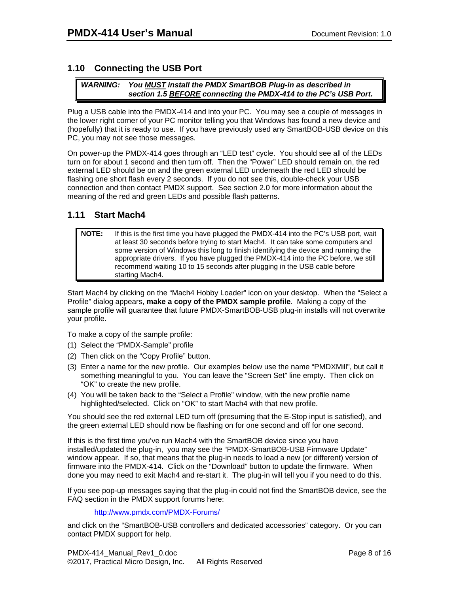#### **1.10 Connecting the USB Port**

#### <span id="page-7-0"></span>*WARNING: You MUST install the PMDX SmartBOB Plug-in as described in section [1.5](#page-3-3) BEFORE connecting the [PMDX-414](#page-0-0) to the PC's USB Port.*

Plug a USB cable into the [PMDX-414](#page-0-0) and into your PC. You may see a couple of messages in the lower right corner of your PC monitor telling you that Windows has found a new device and (hopefully) that it is ready to use. If you have previously used any SmartBOB-USB device on this PC, you may not see those messages.

On power-up the [PMDX-414](#page-0-0) goes through an "LED test" cycle. You should see all of the LEDs turn on for about 1 second and then turn off. Then the "Power" LED should remain on, the red external LED should be on and the green external LED underneath the red LED should be flashing one short flash every 2 seconds. If you do not see this, double-check your USB connection and then contact PMDX support. See section [2.0](#page-10-0) for more information about the meaning of the red and green LEDs and possible flash patterns.

#### **1.11 Start Mach4**

<span id="page-7-1"></span>**NOTE:** If this is the first time you have plugged the [PMDX-414](#page-0-0) into the PC's USB port, wait at least 30 seconds before trying to start Mach4. It can take some computers and some version of Windows this long to finish identifying the device and running the appropriate drivers. If you have plugged the PMDX-414 into the PC before, we still recommend waiting 10 to 15 seconds after p[lugging in th](#page-0-0)e USB cable before starting Mach4.

Start Mach4 by clicking on the "Mach4 Hobby Loader" icon on your desktop. When the "Select a Profile" dialog appears, **make a copy of the PMDX sample profile**. Making a copy of the sample profile will guarantee that future PMDX-SmartBOB-USB plug-in installs will not overwrite your profile.

To make a copy of the sample profile:

- (1) Select the "PMDX-Sample" profile
- (2) Then click on the "Copy Profile" button.
- (3) Enter a name for the new profile. Our examples below use the name "PMDXMill", but call it something meaningful to you. You can leave the "Screen Set" line empty. Then click on "OK" to create the new profile.
- (4) You will be taken back to the "Select a Profile" window, with the new profile name highlighted/selected. Click on "OK" to start Mach4 with that new profile.

You should see the red external LED turn off (presuming that the E-Stop input is satisfied), and the green external LED should now be flashing on for one second and off for one second.

If this is the first time you've run Mach4 with the SmartBOB device since you have installed/updated the plug-in, you may see the "PMDX-SmartBOB-USB Firmware Update" window appear. If so, that means that the plug-in needs to load a new (or different) version of firmware into the [PMDX-414.](#page-0-0) Click on the "Download" button to update the firmware. When done you may need to exit Mach4 and re-start it. The plug-in will tell you if you need to do this.

If you see pop-up messages saying that the plug-in could not find the SmartBOB device, see the FAQ section in the PMDX support forums here:

<http://www.pmdx.com/PMDX-Forums/>

and click on the "SmartBOB-USB controllers and dedicated accessories" category. Or you can contact PMDX support for help.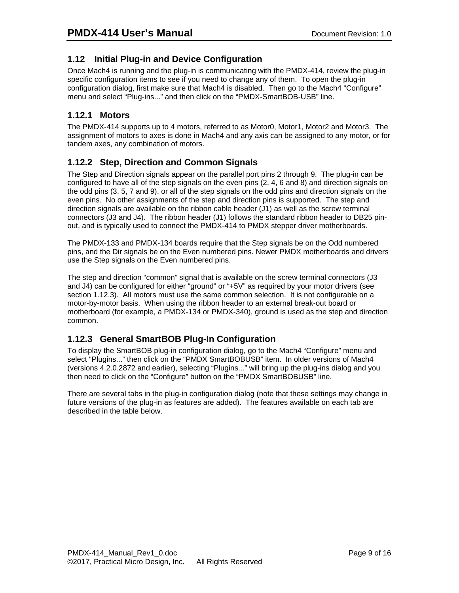#### <span id="page-8-0"></span>**1.12 Initial Plug-in and Device Configuration**

Once Mach4 is running and the plug-in is communicating with the [PMDX-414,](#page-0-0) review the plug-in specific configuration items to see if you need to change any of them. To open the plug-in configuration dialog, first make sure that Mach4 is disabled. Then go to the Mach4 "Configure" menu and select "Plug-ins..." and then click on the "PMDX-SmartBOB-USB" line.

#### <span id="page-8-1"></span>**1.12.1 Motors**

The [PMDX-414](#page-0-0) supports up to 4 motors, referred to as Motor0, Motor1, Motor2 and Motor3. The assignment of motors to axes is done in Mach4 and any axis can be assigned to any motor, or for tandem axes, any combination of motors.

#### <span id="page-8-2"></span>**1.12.2 Step, Direction and Common Signals**

The Step and Direction signals appear on the parallel port pins 2 through 9. The plug-in can be configured to have all of the step signals on the even pins (2, 4, 6 and 8) and direction signals on the odd pins (3, 5, 7 and 9), or all of the step signals on the odd pins and direction signals on the even pins. No other assignments of the step and direction pins is supported. The step and direction signals are available on the ribbon cable header (J1) as well as the screw terminal connectors (J3 and J4). The ribbon header (J1) follows the standard ribbon header to DB25 pinout, and is typically used to connect the [PMDX-414](#page-0-0) to PMDX stepper driver motherboards.

The PMDX-133 and PMDX-134 boards require that the Step signals be on the Odd numbered pins, and the Dir signals be on the Even numbered pins. Newer PMDX motherboards and drivers use the Step signals on the Even numbered pins.

The step and direction "common" signal that is available on the screw terminal connectors (J3 and J4) can be configured for either "ground" or "+5V" as required by your motor drivers (see section [1.12.3\)](#page-8-3). All motors must use the same common selection. It is not configurable on a motor-by-motor basis. When using the ribbon header to an external break-out board or motherboard (for example, a PMDX-134 or PMDX-340), ground is used as the step and direction common.

## <span id="page-8-3"></span>**1.12.3 General SmartBOB Plug-In Configuration**

To display the SmartBOB plug-in configuration dialog, go to the Mach4 "Configure" menu and select "Plugins..." then click on the "PMDX SmartBOBUSB" item. In older versions of Mach4 (versions 4.2.0.2872 and earlier), selecting "Plugins..." will bring up the plug-ins dialog and you then need to click on the "Configure" button on the "PMDX SmartBOBUSB" line.

There are several tabs in the plug-in configuration dialog (note that these settings may change in future versions of the plug-in as features are added). The features available on each tab are described in the table below.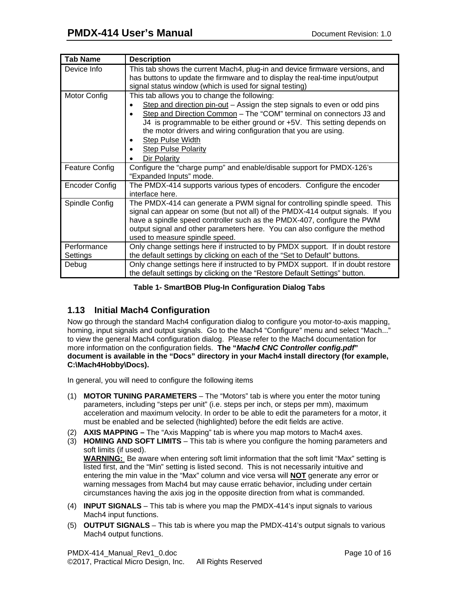| <b>Tab Name</b>       | <b>Description</b>                                                              |
|-----------------------|---------------------------------------------------------------------------------|
| Device Info           | This tab shows the current Mach4, plug-in and device firmware versions, and     |
|                       | has buttons to update the firmware and to display the real-time input/output    |
|                       | signal status window (which is used for signal testing)                         |
| Motor Config          | This tab allows you to change the following:                                    |
|                       | Step and direction pin-out - Assign the step signals to even or odd pins        |
|                       | Step and Direction Common - The "COM" terminal on connectors J3 and<br>٠        |
|                       | J4 is programmable to be either ground or +5V. This setting depends on          |
|                       | the motor drivers and wiring configuration that you are using.                  |
|                       | Step Pulse Width                                                                |
|                       | <b>Step Pulse Polarity</b>                                                      |
|                       | Dir Polarity                                                                    |
| <b>Feature Config</b> | Configure the "charge pump" and enable/disable support for PMDX-126's           |
|                       | "Expanded Inputs" mode.                                                         |
| <b>Encoder Config</b> | The PMDX-414 supports various types of encoders. Configure the encoder          |
|                       | interface here.                                                                 |
| Spindle Config        | The PMDX-414 can generate a PWM signal for controlling spindle speed. This      |
|                       | signal can appear on some (but not all) of the PMDX-414 output signals. If you  |
|                       | have a spindle speed controller such as the PMDX-407, configure the PWM         |
|                       | output signal and other parameters here. You can also configure the method      |
|                       | used to measure spindle speed.                                                  |
| Performance           | Only change settings here if instructed to by PMDX support. If in doubt restore |
| Settings              | the default settings by clicking on each of the "Set to Default" buttons.       |
| Debug                 | Only change settings here if instructed to by PMDX support. If in doubt restore |
|                       | the default settings by clicking on the "Restore Default Settings" button.      |

**Table 1- SmartBOB Plug-In Configuration Dialog Tabs**

## <span id="page-9-0"></span>**1.13 Initial Mach4 Configuration**

Now go through the standard Mach4 configuration dialog to configure you motor-to-axis mapping, homing, input signals and output signals. Go to the Mach4 "Configure" menu and select "Mach..." to view the general Mach4 configuration dialog. Please refer to the Mach4 documentation for more information on the configuration fields. **The "***Mach4 CNC Controller config.pdf***" document is available in the "Docs" directory in your Mach4 install directory (for example, C:\Mach4Hobby\Docs).**

In general, you will need to configure the following items

- (1) **MOTOR TUNING PARAMETERS** The "Motors" tab is where you enter the motor tuning parameters, including "steps per unit" (i.e. steps per inch, or steps per mm), maximum acceleration and maximum velocity. In order to be able to edit the parameters for a motor, it must be enabled and be selected (highlighted) before the edit fields are active.
- (2) **AXIS MAPPING** The "Axis Mapping" tab is where you map motors to Mach4 axes.
- (3) **HOMING AND SOFT LIMITS** This tab is where you configure the homing parameters and soft limits (if used). **WARNING:** Be aware when entering soft limit information that the soft limit "Max" setting is listed first, and the "Min" setting is listed second. This is not necessarily intuitive and

entering the min value in the "Max" column and vice versa will **NOT** generate any error or warning messages from Mach4 but may cause erratic behavior, including under certain circumstances having the axis jog in the opposite direction from what is commanded.

- (4) **INPUT SIGNALS** This tab is where you map the [PMDX-414'](#page-0-0)s input signals to various Mach4 input functions.
- (5) **OUTPUT SIGNALS** This tab is where you map the [PMDX-414'](#page-0-0)s output signals to various Mach4 output functions.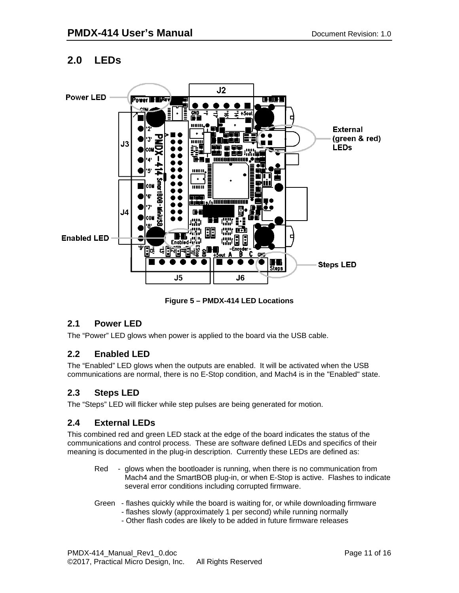## <span id="page-10-0"></span>**2.0 LEDs**



**Figure 5 – [PMDX-414](#page-0-0) LED Locations**

## <span id="page-10-1"></span>**2.1 Power LED**

The "Power" LED glows when power is applied to the board via the USB cable.

## <span id="page-10-2"></span>**2.2 Enabled LED**

The "Enabled" LED glows when the outputs are enabled. It will be activated when the USB communications are normal, there is no E-Stop condition, and Mach4 is in the "Enabled" state.

## <span id="page-10-3"></span>**2.3 Steps LED**

The "Steps" LED will flicker while step pulses are being generated for motion.

#### <span id="page-10-4"></span>**2.4 External LEDs**

This combined red and green LED stack at the edge of the board indicates the status of the communications and control process. These are software defined LEDs and specifics of their meaning is documented in the plug-in description. Currently these LEDs are defined as:

- Red glows when the bootloader is running, when there is no communication from Mach4 and the SmartBOB plug-in, or when E-Stop is active. Flashes to indicate several error conditions including corrupted firmware.
- Green flashes quickly while the board is waiting for, or while downloading firmware
	- flashes slowly (approximately 1 per second) while running normally
		- Other flash codes are likely to be added in future firmware releases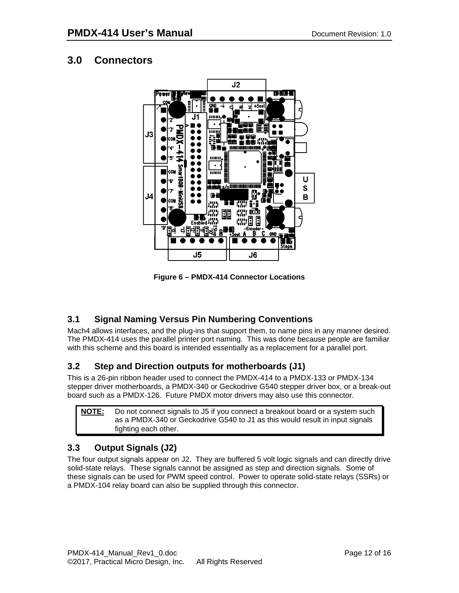## <span id="page-11-0"></span>**3.0 Connectors**



**Figure 6 – [PMDX-414](#page-0-0) Connector Locations**

## <span id="page-11-1"></span>**3.1 Signal Naming Versus Pin Numbering Conventions**

Mach4 allows interfaces, and the plug-ins that support them, to name pins in any manner desired. The [PMDX-414](#page-0-0) uses the parallel printer port naming. This was done because people are familiar with this scheme and this board is intended essentially as a replacement for a parallel port.

#### <span id="page-11-2"></span>**3.2 Step and Direction outputs for motherboards (J1)**

This is a 26-pin ribbon header used to connect the [PMDX-414](#page-0-0) to a PMDX-133 or PMDX-134 stepper driver motherboards, a PMDX-340 or Geckodrive G540 stepper driver box, or a break-out board such as a PMDX-126. Future PMDX motor drivers may also use this connector.

**NOTE:** Do not connect signals to J5 if you connect a breakout board or a system such as a PMDX-340 or Geckodrive G540 to J1 as this would result in input signals fighting each other.

#### <span id="page-11-3"></span>**3.3 Output Signals (J2)**

The four output signals appear on J2. They are buffered 5 volt logic signals and can directly drive solid-state relays. These signals cannot be assigned as step and direction signals. Some of these signals can be used for PWM speed control. Power to operate solid-state relays (SSRs) or a PMDX-104 relay board can also be supplied through this connector.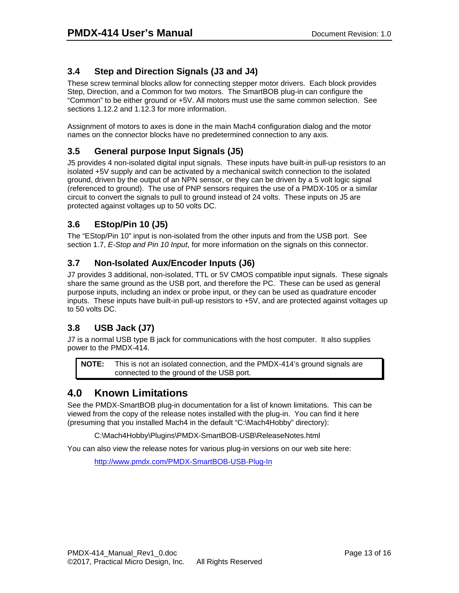## <span id="page-12-0"></span>**3.4 Step and Direction Signals (J3 and J4)**

These screw terminal blocks allow for connecting stepper motor drivers. Each block provides Step, Direction, and a Common for two motors. The SmartBOB plug-in can configure the "Common" to be either ground or +5V. All motors must use the same common selection. See sections [1.12.2](#page-8-2) and [1.12.3](#page-8-3) for more information.

Assignment of motors to axes is done in the main Mach4 configuration dialog and the motor names on the connector blocks have no predetermined connection to any axis.

## <span id="page-12-1"></span>**3.5 General purpose Input Signals (J5)**

J5 provides 4 non-isolated digital input signals. These inputs have built-in pull-up resistors to an isolated +5V supply and can be activated by a mechanical switch connection to the isolated ground, driven by the output of an NPN sensor, or they can be driven by a 5 volt logic signal (referenced to ground). The use of PNP sensors requires the use of a PMDX-105 or a similar circuit to convert the signals to pull to ground instead of 24 volts. These inputs on J5 are protected against voltages up to 50 volts DC.

#### <span id="page-12-2"></span>**3.6 EStop/Pin 10 (J5)**

The "EStop/Pin 10" input is non-isolated from the other inputs and from the USB port. See section [1.7,](#page-4-1) *[E-Stop and Pin 10 Input](#page-4-1)*, for more information on the signals on this connector.

#### <span id="page-12-3"></span>**3.7 Non-Isolated Aux/Encoder Inputs (J6)**

J7 provides 3 additional, non-isolated, TTL or 5V CMOS compatible input signals. These signals share the same ground as the USB port, and therefore the PC. These can be used as general purpose inputs, including an index or probe input, or they can be used as quadrature encoder inputs. These inputs have built-in pull-up resistors to +5V, and are protected against voltages up to 50 volts DC.

#### <span id="page-12-4"></span>**3.8 USB Jack (J7)**

J7 is a normal USB type B jack for communications with the host computer. It also supplies power to the [PMDX-414.](#page-0-0)

**NOTE:** This is not an isolated connection, and the [PMDX-414'](#page-0-0)s ground signals are connected to the ground of the USB port.

## <span id="page-12-5"></span>**4.0 Known Limitations**

See the PMDX-SmartBOB plug-in documentation for a list of known limitations. This can be viewed from the copy of the release notes installed with the plug-in. You can find it here (presuming that you installed Mach4 in the default "C:\Mach4Hobby" directory):

C:\Mach4Hobby\Plugins\PMDX-SmartBOB-USB\ReleaseNotes.html

You can also view the release notes for various plug-in versions on our web site here:

<http://www.pmdx.com/PMDX-SmartBOB-USB-Plug-In>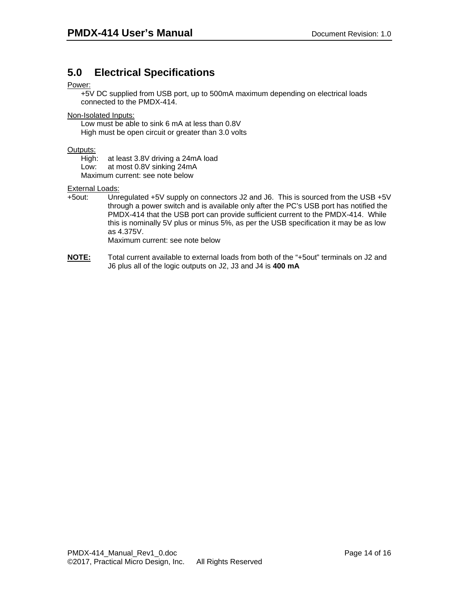# **5.0 Electrical Specifications**

Power:

<span id="page-13-0"></span>+5V DC supplied from USB port, up to 500mA maximum depending on electrical loads connected to the [PMDX-414.](#page-0-0)

Non-Isolated Inputs:

Low must be able to sink 6 mA at less than 0.8V High must be open circuit or greater than 3.0 volts

#### Outputs:

High: at least 3.8V driving a 24mA load

- Low: at most 0.8V sinking 24mA
- Maximum current: see note below

#### External Loads:

+5out: Unregulated +5V supply on connectors J2 and J6. This is sourced from the USB +5V through a power switch and is available only after the PC's USB port has notified the [PMDX-414](#page-0-0) that the USB port can provide sufficient current to the [PMDX-414.](#page-0-0) While this is nominally 5V plus or minus 5%, as per the USB specification it may be as low as 4.375V.

Maximum current: see note below

**NOTE:** Total current available to external loads from both of the "+5out" terminals on J2 and J6 plus all of the logic outputs on J2, J3 and J4 is **400 mA**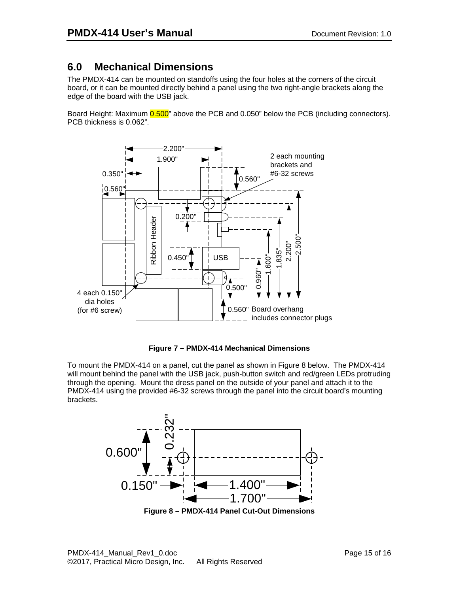# <span id="page-14-0"></span>**6.0 Mechanical Dimensions**

The [PMDX-414](#page-0-0) can be mounted on standoffs using the four holes at the corners of the circuit board, or it can be mounted directly behind a panel using the two right-angle brackets along the edge of the board with the USB jack.

Board Height: Maximum 0.500" above the PCB and 0.050" below the PCB (including connectors). PCB thickness is 0.062".



<span id="page-14-1"></span>**Figure 7 – [PMDX-414](#page-0-0) Mechanical Dimensions**

To mount the [PMDX-414](#page-0-0) on a panel, cut the panel as shown in [Figure 8 below.](#page-14-1) The [PMDX-414](#page-0-0) will mount behind the panel with the USB jack, push-button switch and red/green LEDs protruding through the opening. Mount the dress panel on the outside of your panel and attach it to the [PMDX-414](#page-0-0) using the provided #6-32 screws through the panel into the circuit board's mounting brackets.